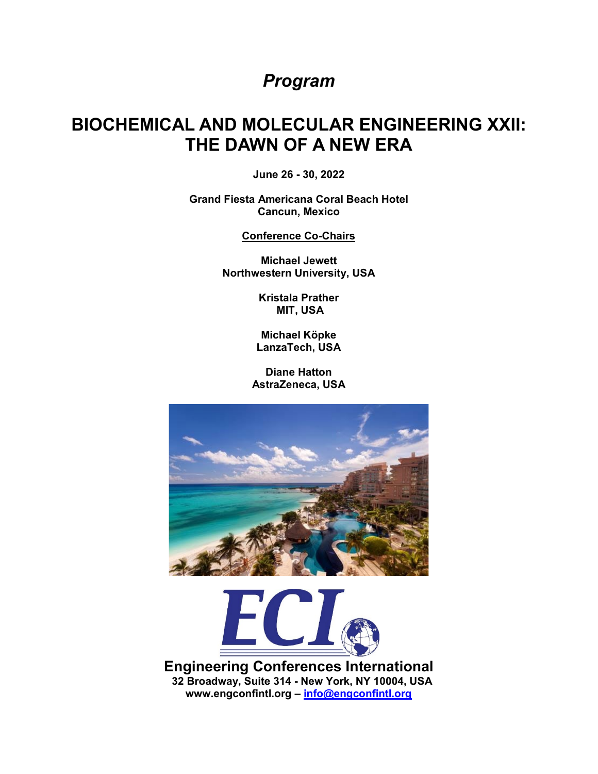# *Program*

# **BIOCHEMICAL AND MOLECULAR ENGINEERING XXII: THE DAWN OF A NEW ERA**

**June 26 - 30, 2022**

**Grand Fiesta Americana Coral Beach Hotel Cancun, Mexico**

**Conference Co-Chairs**

**Michael Jewett Northwestern University, USA**

> **Kristala Prather MIT, USA**

**Michael Köpke LanzaTech, USA**

**Diane Hatton AstraZeneca, USA**





**Engineering Conferences International 32 Broadway, Suite 314 - New York, NY 10004, USA www.engconfintl.org – [info@engconfintl.org](mailto:info@engconfintl.org)**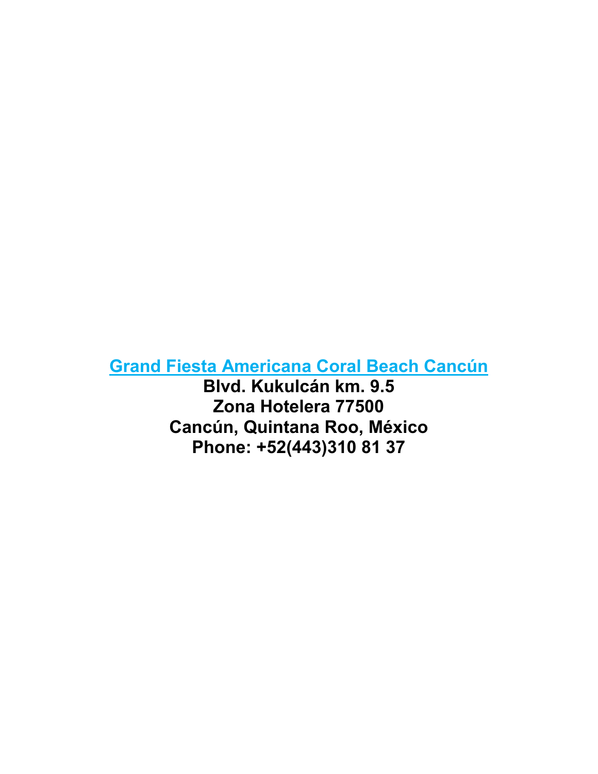# **[Grand Fiesta Americana Coral Beach Cancún](https://www.grandfiestamericana.com/en/hotels-resorts/grand-fiesta-americana-coral-beach-cancun-all-inclusive-spa-resort)**

**Blvd. Kukulcán km. 9.5 Zona Hotelera 77500 Cancún, Quintana Roo, México Phone: +52(443)310 81 37**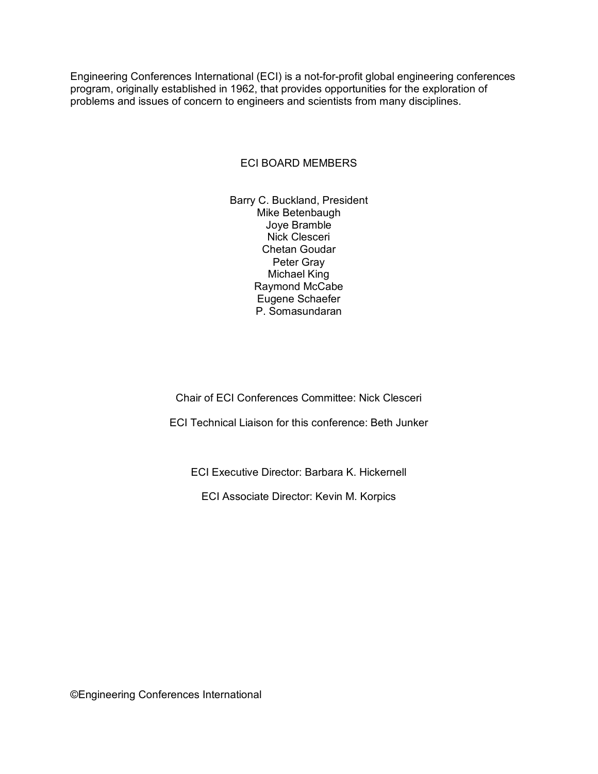Engineering Conferences International (ECI) is a not-for-profit global engineering conferences program, originally established in 1962, that provides opportunities for the exploration of problems and issues of concern to engineers and scientists from many disciplines.

### ECI BOARD MEMBERS

Barry C. Buckland, President Mike Betenbaugh Joye Bramble Nick Clesceri Chetan Goudar Peter Gray Michael King Raymond McCabe Eugene Schaefer P. Somasundaran

Chair of ECI Conferences Committee: Nick Clesceri

ECI Technical Liaison for this conference: Beth Junker

ECI Executive Director: Barbara K. Hickernell

ECI Associate Director: Kevin M. Korpics

©Engineering Conferences International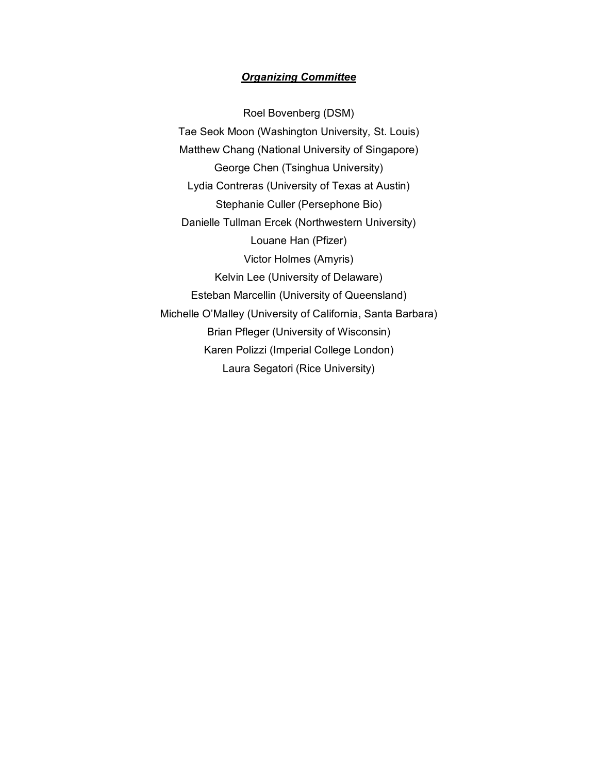### *Organizing Committee*

Roel Bovenberg (DSM) Tae Seok Moon (Washington University, St. Louis) Matthew Chang (National University of Singapore) George Chen (Tsinghua University) Lydia Contreras (University of Texas at Austin) Stephanie Culler (Persephone Bio) Danielle Tullman Ercek (Northwestern University) Louane Han (Pfizer) Victor Holmes (Amyris) Kelvin Lee (University of Delaware) Esteban Marcellin (University of Queensland) Michelle O'Malley (University of California, Santa Barbara) Brian Pfleger (University of Wisconsin) Karen Polizzi (Imperial College London) Laura Segatori (Rice University)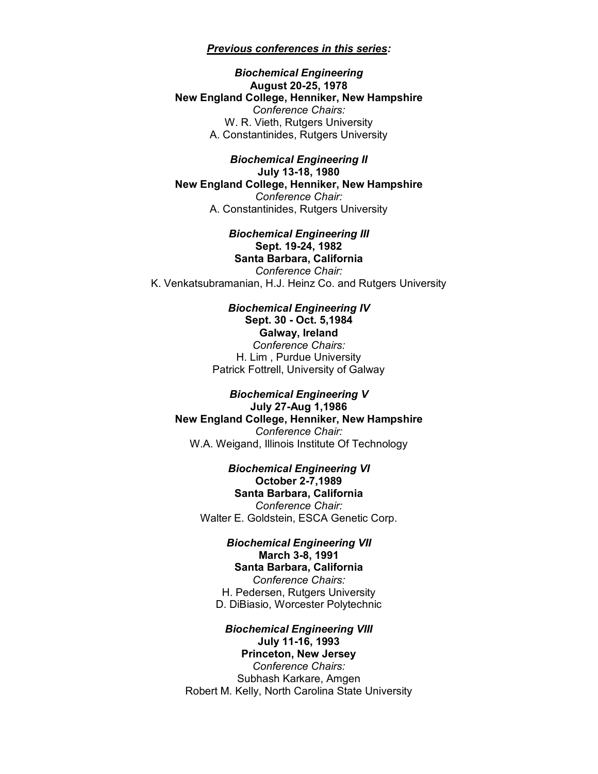#### *Previous conferences in this series:*

*Biochemical Engineering* **August 20-25, 1978 New England College, Henniker, New Hampshire** *Conference Chairs:* W. R. Vieth, Rutgers University A. Constantinides, Rutgers University

*Biochemical Engineering II* **July 13-18, 1980 New England College, Henniker, New Hampshire** *Conference Chair:* A. Constantinides, Rutgers University

*Biochemical Engineering III* **Sept. 19-24, 1982 Santa Barbara, California** *Conference Chair:* K. Venkatsubramanian, H.J. Heinz Co. and Rutgers University

> *Biochemical Engineering IV* **Sept. 30 - Oct. 5,1984 Galway, Ireland** *Conference Chairs:* H. Lim , Purdue University Patrick Fottrell, University of Galway

*Biochemical Engineering V* **July 27-Aug 1,1986 New England College, Henniker, New Hampshire** *Conference Chair:* W.A. Weigand, Illinois Institute Of Technology

> *Biochemical Engineering VI* **October 2-7,1989 Santa Barbara, California** *Conference Chair:* Walter E. Goldstein, ESCA Genetic Corp.

*Biochemical Engineering VII* **March 3-8, 1991 Santa Barbara, California** *Conference Chairs:* H. Pedersen, Rutgers University D. DiBiasio, Worcester Polytechnic

*Biochemical Engineering VIII* **July 11-16, 1993 Princeton, New Jersey**  *Conference Chairs:* Subhash Karkare, Amgen Robert M. Kelly, North Carolina State University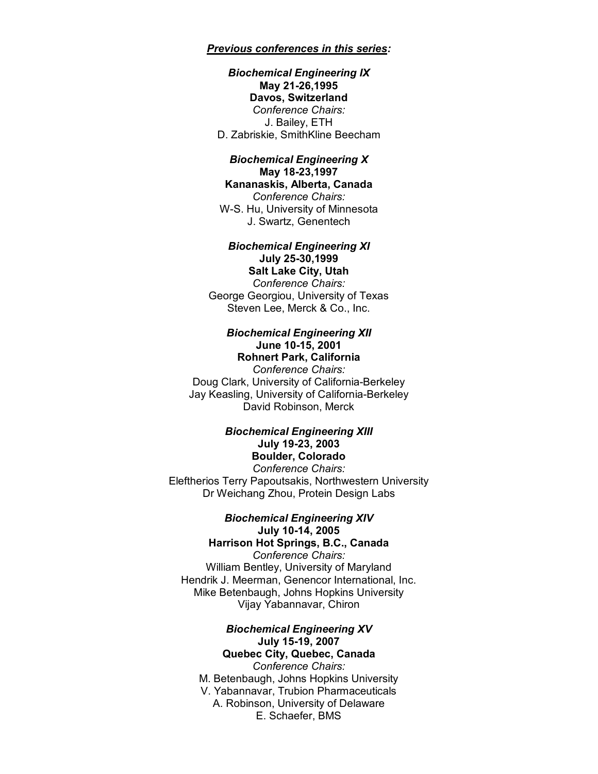*Previous conferences in this series:*

#### *Biochemical Engineering IX* **May 21-26,1995 Davos, Switzerland**  *Conference Chairs:* J. Bailey, ETH D. Zabriskie, SmithKline Beecham

#### *Biochemical Engineering X* **May 18-23,1997 Kananaskis, Alberta, Canada**

*Conference Chairs:* W-S. Hu, University of Minnesota J. Swartz, Genentech

#### *Biochemical Engineering XI* **July 25-30,1999**

**Salt Lake City, Utah**  *Conference Chairs:* George Georgiou, University of Texas Steven Lee, Merck & Co., Inc.

#### *Biochemical Engineering XII* **June 10-15, 2001 Rohnert Park, California**

*Conference Chairs:* Doug Clark, University of California-Berkeley Jay Keasling, University of California-Berkeley David Robinson, Merck

### *Biochemical Engineering XIII* **July 19-23, 2003 Boulder, Colorado**

*Conference Chairs:* Eleftherios Terry Papoutsakis, Northwestern University Dr Weichang Zhou, Protein Design Labs

#### *Biochemical Engineering XIV* **July 10-14, 2005**

**Harrison Hot Springs, B.C., Canada**  *Conference Chairs:* William Bentley, University of Maryland Hendrik J. Meerman, Genencor International, Inc. Mike Betenbaugh, Johns Hopkins University Vijay Yabannavar, Chiron

### *Biochemical Engineering XV* **July 15-19, 2007 Quebec City, Quebec, Canada**

*Conference Chairs:* M. Betenbaugh, Johns Hopkins University V. Yabannavar, Trubion Pharmaceuticals A. Robinson, University of Delaware E. Schaefer, BMS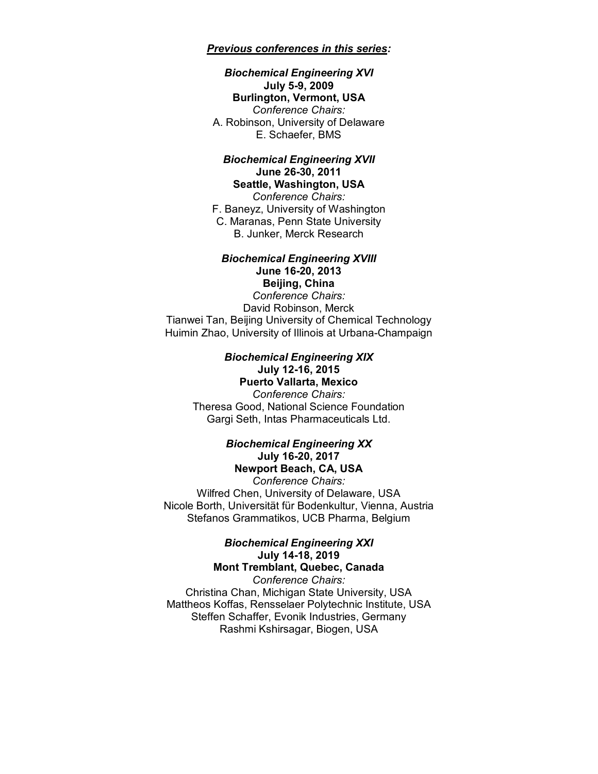#### *Previous conferences in this series:*

#### *Biochemical Engineering XVI* **July 5-9, 2009 Burlington, Vermont, USA** *Conference Chairs:* A. Robinson, University of Delaware E. Schaefer, BMS

#### *Biochemical Engineering XVII* **June 26-30, 2011 Seattle, Washington, USA**

*Conference Chairs:* F. Baneyz, University of Washington C. Maranas, Penn State University B. Junker, Merck Research

#### *Biochemical Engineering XVIII* **June 16-20, 2013 Beijing, China**

*Conference Chairs:* David Robinson, Merck Tianwei Tan, Beijing University of Chemical Technology Huimin Zhao, University of Illinois at Urbana-Champaign

### *Biochemical Engineering XIX* **July 12-16, 2015**

**Puerto Vallarta, Mexico** *Conference Chairs:* Theresa Good, National Science Foundation Gargi Seth, Intas Pharmaceuticals Ltd.

#### *Biochemical Engineering XX* **July 16-20, 2017 Newport Beach, CA, USA**

*Conference Chairs:* Wilfred Chen, University of Delaware, USA Nicole Borth, Universität für Bodenkultur, Vienna, Austria Stefanos Grammatikos, UCB Pharma, Belgium

#### *Biochemical Engineering XXI* **July 14-18, 2019 Mont Tremblant, Quebec, Canada**

*Conference Chairs:* Christina Chan, Michigan State University, USA Mattheos Koffas, Rensselaer Polytechnic Institute, USA Steffen Schaffer, Evonik Industries, Germany Rashmi Kshirsagar, Biogen, USA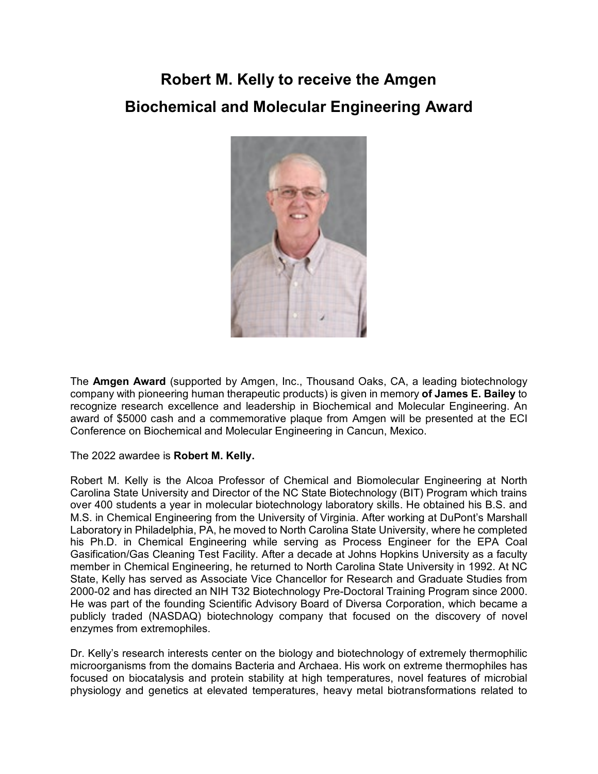# **Robert M. Kelly to receive the Amgen Biochemical and Molecular Engineering Award**



The **Amgen Award** (supported by Amgen, Inc., Thousand Oaks, CA, a leading biotechnology company with pioneering human therapeutic products) is given in memory **of James E. Bailey** to recognize research excellence and leadership in Biochemical and Molecular Engineering. An award of \$5000 cash and a commemorative plaque from Amgen will be presented at the ECI Conference on Biochemical and Molecular Engineering in Cancun, Mexico.

### The 2022 awardee is **Robert M. Kelly.**

Robert M. Kelly is the Alcoa Professor of Chemical and Biomolecular Engineering at North Carolina State University and Director of the NC State Biotechnology (BIT) Program which trains over 400 students a year in molecular biotechnology laboratory skills. He obtained his B.S. and M.S. in Chemical Engineering from the University of Virginia. After working at DuPont's Marshall Laboratory in Philadelphia, PA, he moved to North Carolina State University, where he completed his Ph.D. in Chemical Engineering while serving as Process Engineer for the EPA Coal Gasification/Gas Cleaning Test Facility. After a decade at Johns Hopkins University as a faculty member in Chemical Engineering, he returned to North Carolina State University in 1992. At NC State, Kelly has served as Associate Vice Chancellor for Research and Graduate Studies from 2000-02 and has directed an NIH T32 Biotechnology Pre-Doctoral Training Program since 2000. He was part of the founding Scientific Advisory Board of Diversa Corporation, which became a publicly traded (NASDAQ) biotechnology company that focused on the discovery of novel enzymes from extremophiles.

Dr. Kelly's research interests center on the biology and biotechnology of extremely thermophilic microorganisms from the domains Bacteria and Archaea. His work on extreme thermophiles has focused on biocatalysis and protein stability at high temperatures, novel features of microbial physiology and genetics at elevated temperatures, heavy metal biotransformations related to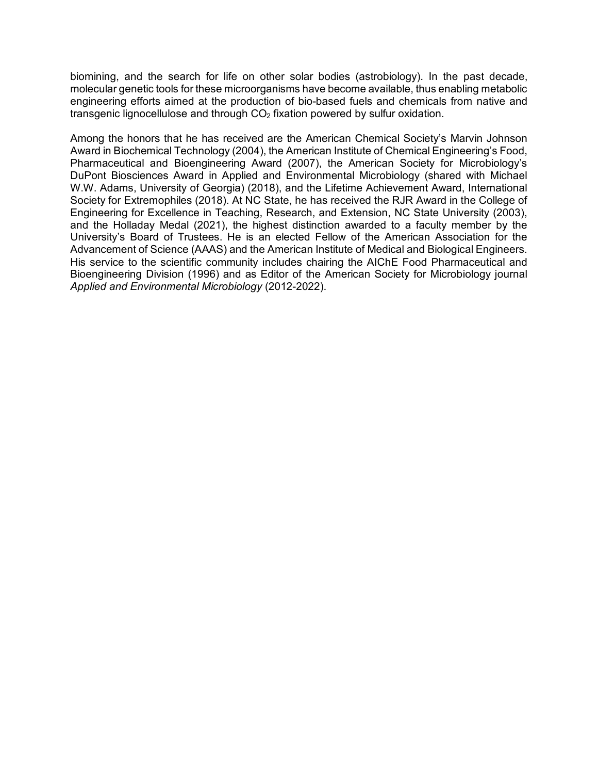biomining, and the search for life on other solar bodies (astrobiology). In the past decade, molecular genetic tools for these microorganisms have become available, thus enabling metabolic engineering efforts aimed at the production of bio-based fuels and chemicals from native and transgenic lignocellulose and through  $CO<sub>2</sub>$  fixation powered by sulfur oxidation.

Among the honors that he has received are the American Chemical Society's Marvin Johnson Award in Biochemical Technology (2004), the American Institute of Chemical Engineering's Food, Pharmaceutical and Bioengineering Award (2007), the American Society for Microbiology's DuPont Biosciences Award in Applied and Environmental Microbiology (shared with Michael W.W. Adams, University of Georgia) (2018), and the Lifetime Achievement Award, International Society for Extremophiles (2018). At NC State, he has received the RJR Award in the College of Engineering for Excellence in Teaching, Research, and Extension, NC State University (2003), and the Holladay Medal (2021), the highest distinction awarded to a faculty member by the University's Board of Trustees. He is an elected Fellow of the American Association for the Advancement of Science (AAAS) and the American Institute of Medical and Biological Engineers. His service to the scientific community includes chairing the AIChE Food Pharmaceutical and Bioengineering Division (1996) and as Editor of the American Society for Microbiology journal *Applied and Environmental Microbiology* (2012-2022).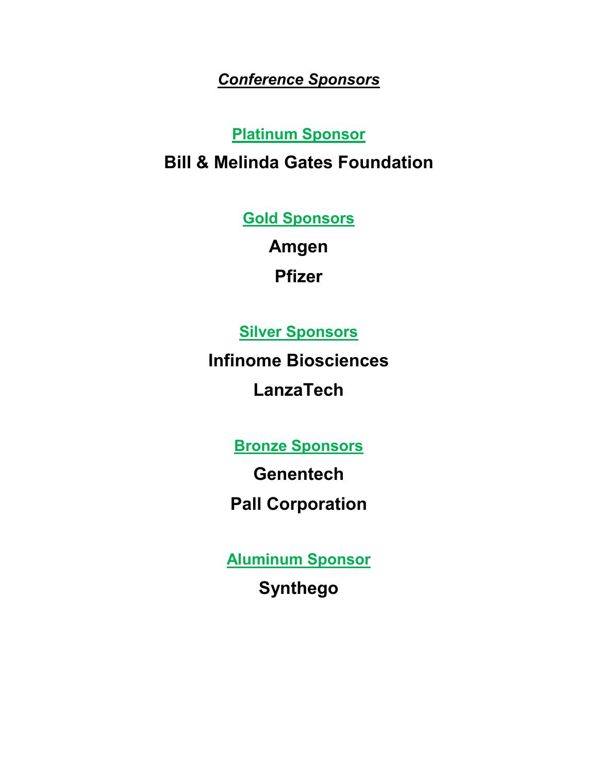# *Conference Sponsors*

# **Platinum Sponsor**

# **Bill & Melinda Gates Foundation**

**Gold Sponsors**

**Amgen Pfizer**

**Silver Sponsors**

**Infinome Biosciences**

**LanzaTech**

**Bronze Sponsors**

**Genentech**

**Pall Corporation**

**Aluminum Sponsor**

**Synthego**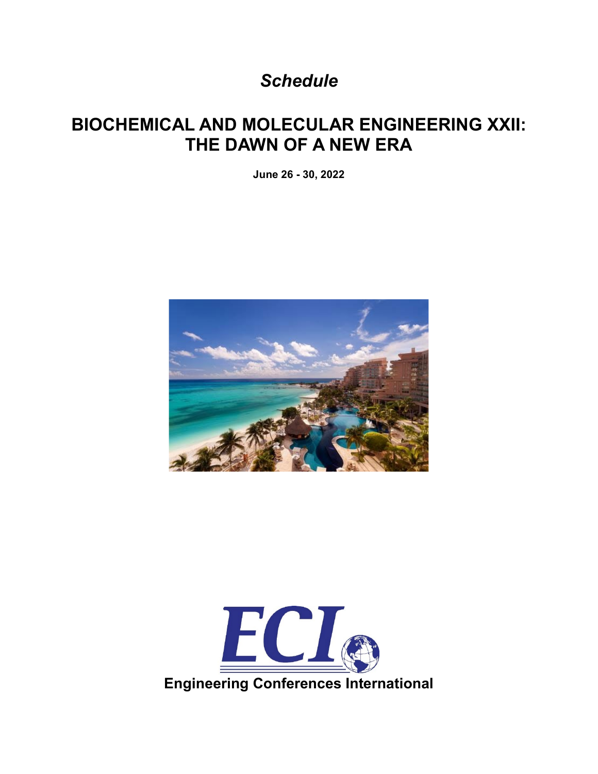*Schedule*

# **BIOCHEMICAL AND MOLECULAR ENGINEERING XXII: THE DAWN OF A NEW ERA**

**June 26 - 30, 2022**



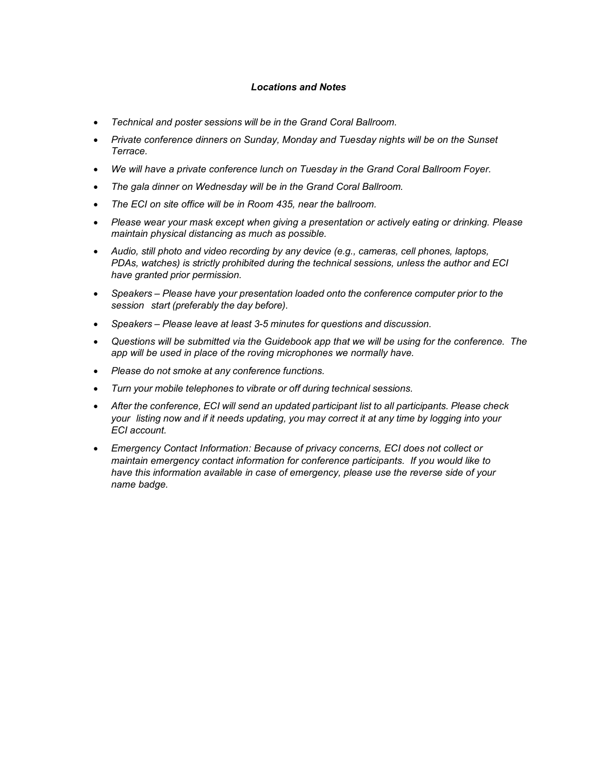#### *Locations and Notes*

- *Technical and poster sessions will be in the Grand Coral Ballroom.*
- *Private conference dinners on Sunday, Monday and Tuesday nights will be on the Sunset Terrace.*
- *We will have a private conference lunch on Tuesday in the Grand Coral Ballroom Foyer.*
- *The gala dinner on Wednesday will be in the Grand Coral Ballroom.*
- *The ECI on site office will be in Room 435, near the ballroom.*
- *Please wear your mask except when giving a presentation or actively eating or drinking. Please maintain physical distancing as much as possible.*
- *Audio, still photo and video recording by any device (e.g., cameras, cell phones, laptops, PDAs, watches) is strictly prohibited during the technical sessions, unless the author and ECI have granted prior permission.*
- *Speakers – Please have your presentation loaded onto the conference computer prior to the session start (preferably the day before).*
- *Speakers – Please leave at least 3-5 minutes for questions and discussion.*
- *Questions will be submitted via the Guidebook app that we will be using for the conference. The app will be used in place of the roving microphones we normally have.*
- *Please do not smoke at any conference functions.*
- *Turn your mobile telephones to vibrate or off during technical sessions.*
- *After the conference, ECI will send an updated participant list to all participants. Please check your listing now and if it needs updating, you may correct it at any time by logging into your ECI account.*
- *Emergency Contact Information: Because of privacy concerns, ECI does not collect or maintain emergency contact information for conference participants. If you would like to have this information available in case of emergency, please use the reverse side of your name badge.*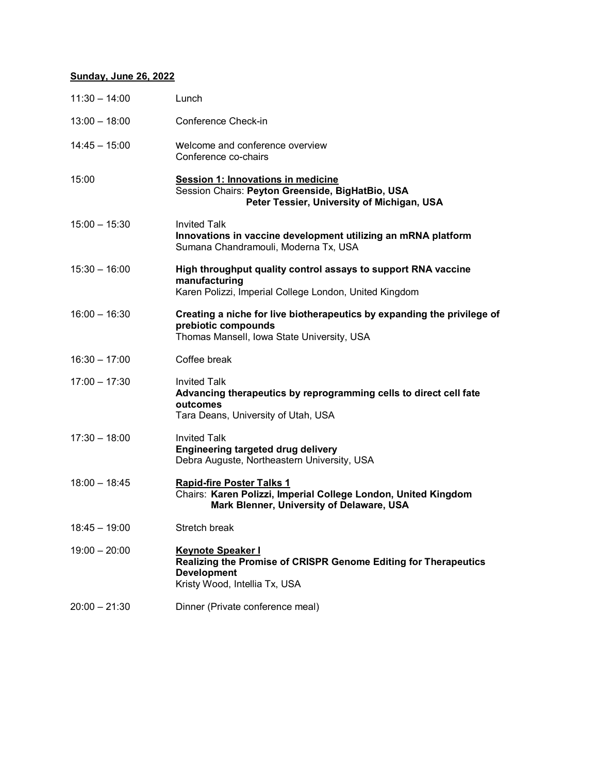# **Sunday, June 26, 2022**

| $11:30 - 14:00$ | Lunch                                                                                                                                                     |
|-----------------|-----------------------------------------------------------------------------------------------------------------------------------------------------------|
| $13:00 - 18:00$ | Conference Check-in                                                                                                                                       |
| $14:45 - 15:00$ | Welcome and conference overview<br>Conference co-chairs                                                                                                   |
| 15:00           | Session 1: Innovations in medicine<br>Session Chairs: Peyton Greenside, BigHatBio, USA<br>Peter Tessier, University of Michigan, USA                      |
| $15:00 - 15:30$ | <b>Invited Talk</b><br>Innovations in vaccine development utilizing an mRNA platform<br>Sumana Chandramouli, Moderna Tx, USA                              |
| $15:30 - 16:00$ | High throughput quality control assays to support RNA vaccine<br>manufacturing<br>Karen Polizzi, Imperial College London, United Kingdom                  |
| $16:00 - 16:30$ | Creating a niche for live biotherapeutics by expanding the privilege of<br>prebiotic compounds<br>Thomas Mansell, Iowa State University, USA              |
| $16:30 - 17:00$ | Coffee break                                                                                                                                              |
| $17:00 - 17:30$ | <b>Invited Talk</b><br>Advancing therapeutics by reprogramming cells to direct cell fate<br>outcomes<br>Tara Deans, University of Utah, USA               |
| $17:30 - 18:00$ | <b>Invited Talk</b><br><b>Engineering targeted drug delivery</b><br>Debra Auguste, Northeastern University, USA                                           |
| $18:00 - 18:45$ | <b>Rapid-fire Poster Talks 1</b><br>Chairs: Karen Polizzi, Imperial College London, United Kingdom<br>Mark Blenner, University of Delaware, USA           |
| $18:45 - 19:00$ | Stretch break                                                                                                                                             |
| $19:00 - 20:00$ | <b>Keynote Speaker I</b><br><b>Realizing the Promise of CRISPR Genome Editing for Therapeutics</b><br><b>Development</b><br>Kristy Wood, Intellia Tx, USA |
| $20:00 - 21:30$ | Dinner (Private conference meal)                                                                                                                          |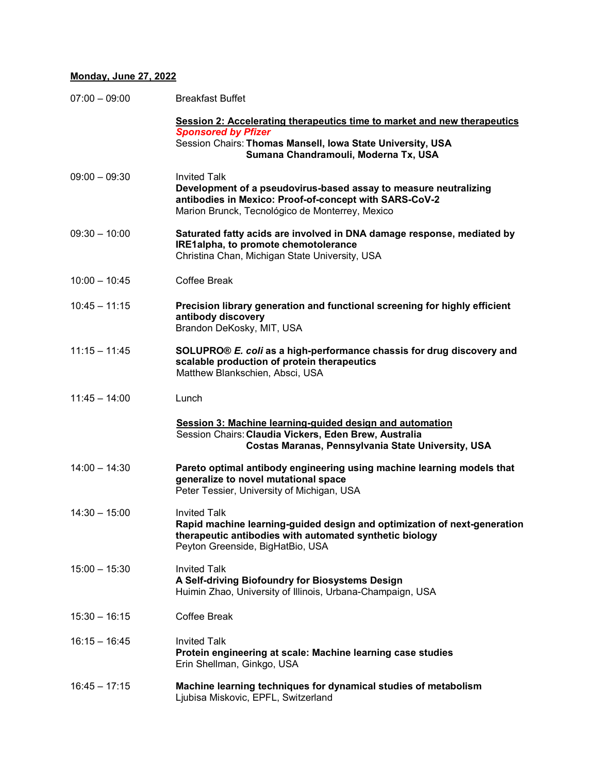# **Monday, June 27, 2022**

| $07:00 - 09:00$ | <b>Breakfast Buffet</b>                                                                                                                                                                              |
|-----------------|------------------------------------------------------------------------------------------------------------------------------------------------------------------------------------------------------|
|                 | Session 2: Accelerating therapeutics time to market and new therapeutics<br><b>Sponsored by Pfizer</b>                                                                                               |
|                 | Session Chairs: Thomas Mansell, Iowa State University, USA<br>Sumana Chandramouli, Moderna Tx, USA                                                                                                   |
| $09:00 - 09:30$ | <b>Invited Talk</b><br>Development of a pseudovirus-based assay to measure neutralizing<br>antibodies in Mexico: Proof-of-concept with SARS-CoV-2<br>Marion Brunck, Tecnológico de Monterrey, Mexico |
| $09:30 - 10:00$ | Saturated fatty acids are involved in DNA damage response, mediated by<br>IRE1alpha, to promote chemotolerance<br>Christina Chan, Michigan State University, USA                                     |
| $10:00 - 10:45$ | Coffee Break                                                                                                                                                                                         |
| $10:45 - 11:15$ | Precision library generation and functional screening for highly efficient<br>antibody discovery<br>Brandon DeKosky, MIT, USA                                                                        |
| $11:15 - 11:45$ | SOLUPRO® E. coli as a high-performance chassis for drug discovery and<br>scalable production of protein therapeutics<br>Matthew Blankschien, Absci, USA                                              |
| $11:45 - 14:00$ | Lunch                                                                                                                                                                                                |
|                 | Session 3: Machine learning-guided design and automation<br>Session Chairs: Claudia Vickers, Eden Brew, Australia<br>Costas Maranas, Pennsylvania State University, USA                              |
| $14:00 - 14:30$ | Pareto optimal antibody engineering using machine learning models that<br>generalize to novel mutational space<br>Peter Tessier, University of Michigan, USA                                         |
| $14:30 - 15:00$ | <b>Invited Talk</b><br>Rapid machine learning-guided design and optimization of next-generation<br>therapeutic antibodies with automated synthetic biology<br>Peyton Greenside, BigHatBio, USA       |
| $15:00 - 15:30$ | <b>Invited Talk</b><br>A Self-driving Biofoundry for Biosystems Design<br>Huimin Zhao, University of Illinois, Urbana-Champaign, USA                                                                 |
| $15:30 - 16:15$ | <b>Coffee Break</b>                                                                                                                                                                                  |
| $16:15 - 16:45$ | <b>Invited Talk</b><br>Protein engineering at scale: Machine learning case studies<br>Erin Shellman, Ginkgo, USA                                                                                     |
| $16:45 - 17:15$ | Machine learning techniques for dynamical studies of metabolism<br>Ljubisa Miskovic, EPFL, Switzerland                                                                                               |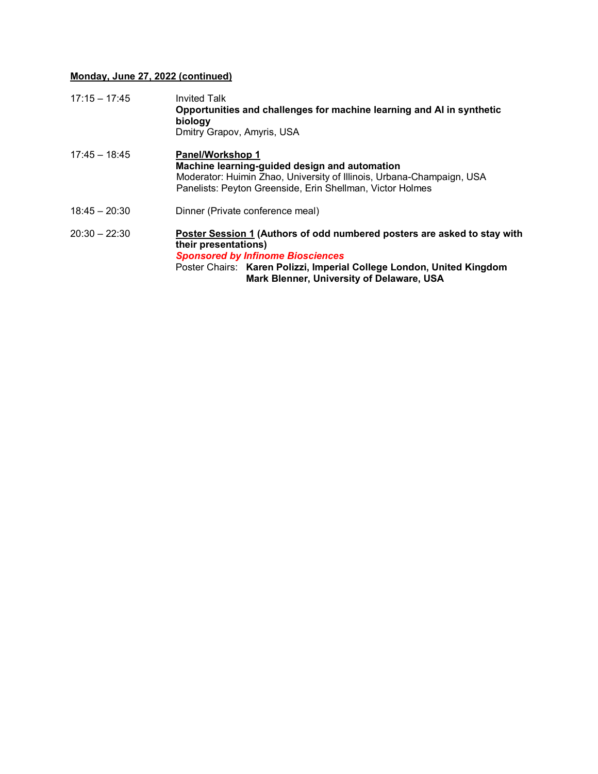# **Monday, June 27, 2022 (continued)**

| $17:15 - 17:45$ | <b>Invited Talk</b><br>Opportunities and challenges for machine learning and AI in synthetic<br>biology<br>Dmitry Grapov, Amyris, USA                                                                                                                              |
|-----------------|--------------------------------------------------------------------------------------------------------------------------------------------------------------------------------------------------------------------------------------------------------------------|
| $17:45 - 18:45$ | <b>Panel/Workshop 1</b><br>Machine learning-guided design and automation<br>Moderator: Huimin Zhao, University of Illinois, Urbana-Champaign, USA<br>Panelists: Peyton Greenside, Erin Shellman, Victor Holmes                                                     |
| $18:45 - 20:30$ | Dinner (Private conference meal)                                                                                                                                                                                                                                   |
| $20:30 - 22:30$ | Poster Session 1 (Authors of odd numbered posters are asked to stay with<br>their presentations)<br><b>Sponsored by Infinome Biosciences</b><br>Poster Chairs: Karen Polizzi, Imperial College London, United Kingdom<br>Mark Blenner, University of Delaware, USA |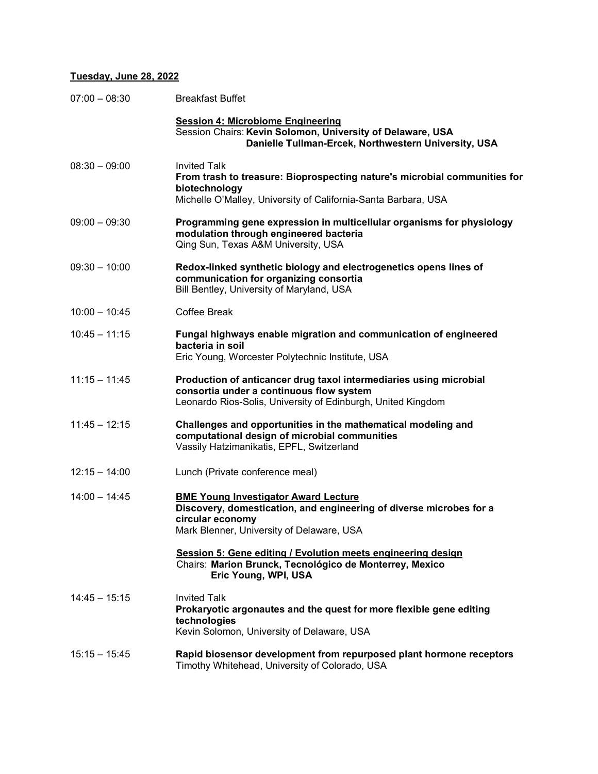# **Tuesday, June 28, 2022**

| $07:00 - 08:30$ | <b>Breakfast Buffet</b>                                                                                                                                                             |
|-----------------|-------------------------------------------------------------------------------------------------------------------------------------------------------------------------------------|
|                 | <b>Session 4: Microbiome Engineering</b><br>Session Chairs: Kevin Solomon, University of Delaware, USA<br>Danielle Tullman-Ercek, Northwestern University, USA                      |
| $08:30 - 09:00$ | <b>Invited Talk</b><br>From trash to treasure: Bioprospecting nature's microbial communities for<br>biotechnology<br>Michelle O'Malley, University of California-Santa Barbara, USA |
| $09:00 - 09:30$ | Programming gene expression in multicellular organisms for physiology<br>modulation through engineered bacteria<br>Qing Sun, Texas A&M University, USA                              |
| $09:30 - 10:00$ | Redox-linked synthetic biology and electrogenetics opens lines of<br>communication for organizing consortia<br>Bill Bentley, University of Maryland, USA                            |
| $10:00 - 10:45$ | Coffee Break                                                                                                                                                                        |
| $10:45 - 11:15$ | Fungal highways enable migration and communication of engineered<br>bacteria in soil<br>Eric Young, Worcester Polytechnic Institute, USA                                            |
| $11:15 - 11:45$ | Production of anticancer drug taxol intermediaries using microbial<br>consortia under a continuous flow system<br>Leonardo Rios-Solis, University of Edinburgh, United Kingdom      |
| $11:45 - 12:15$ | Challenges and opportunities in the mathematical modeling and<br>computational design of microbial communities<br>Vassily Hatzimanikatis, EPFL, Switzerland                         |
| $12:15 - 14:00$ | Lunch (Private conference meal)                                                                                                                                                     |
| $14:00 - 14:45$ | <b>BME Young Investigator Award Lecture</b><br>Discovery, domestication, and engineering of diverse microbes for a<br>circular economy<br>Mark Blenner, University of Delaware, USA |
|                 | Session 5: Gene editing / Evolution meets engineering design<br>Chairs: Marion Brunck, Tecnológico de Monterrey, Mexico<br>Eric Young, WPI, USA                                     |
| $14:45 - 15:15$ | <b>Invited Talk</b><br>Prokaryotic argonautes and the quest for more flexible gene editing<br>technologies<br>Kevin Solomon, University of Delaware, USA                            |
| $15:15 - 15:45$ | Rapid biosensor development from repurposed plant hormone receptors<br>Timothy Whitehead, University of Colorado, USA                                                               |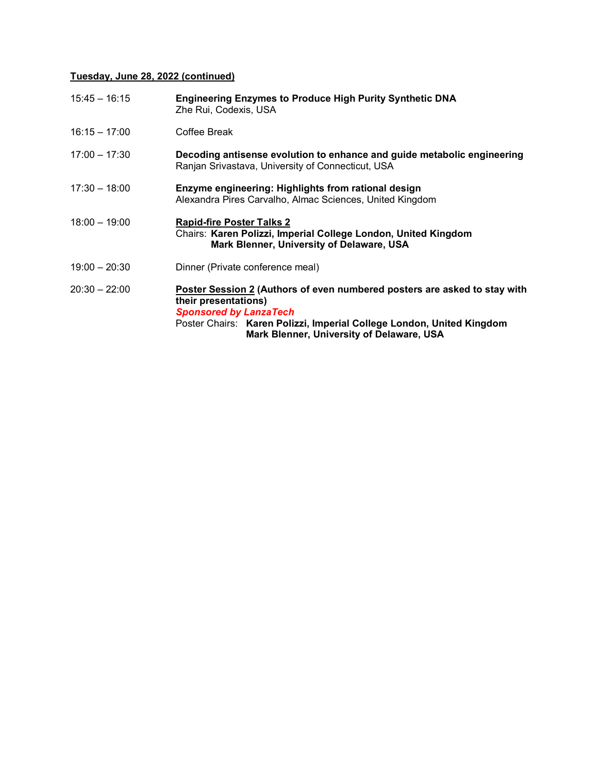# **Tuesday, June 28, 2022 (continued)**

| $15:45 - 16:15$ | <b>Engineering Enzymes to Produce High Purity Synthetic DNA</b><br>Zhe Rui, Codexis, USA                                                                                                                                                                 |
|-----------------|----------------------------------------------------------------------------------------------------------------------------------------------------------------------------------------------------------------------------------------------------------|
| $16:15 - 17:00$ | Coffee Break                                                                                                                                                                                                                                             |
| $17:00 - 17:30$ | Decoding antisense evolution to enhance and guide metabolic engineering<br>Ranjan Srivastava, University of Connecticut, USA                                                                                                                             |
| $17:30 - 18:00$ | Enzyme engineering: Highlights from rational design<br>Alexandra Pires Carvalho, Almac Sciences, United Kingdom                                                                                                                                          |
| $18:00 - 19:00$ | <b>Rapid-fire Poster Talks 2</b><br>Chairs: Karen Polizzi, Imperial College London, United Kingdom<br>Mark Blenner, University of Delaware, USA                                                                                                          |
| $19:00 - 20:30$ | Dinner (Private conference meal)                                                                                                                                                                                                                         |
| $20:30 - 22:00$ | Poster Session 2 (Authors of even numbered posters are asked to stay with<br>their presentations)<br><b>Sponsored by LanzaTech</b><br>Poster Chairs: Karen Polizzi, Imperial College London, United Kingdom<br>Mark Blenner, University of Delaware, USA |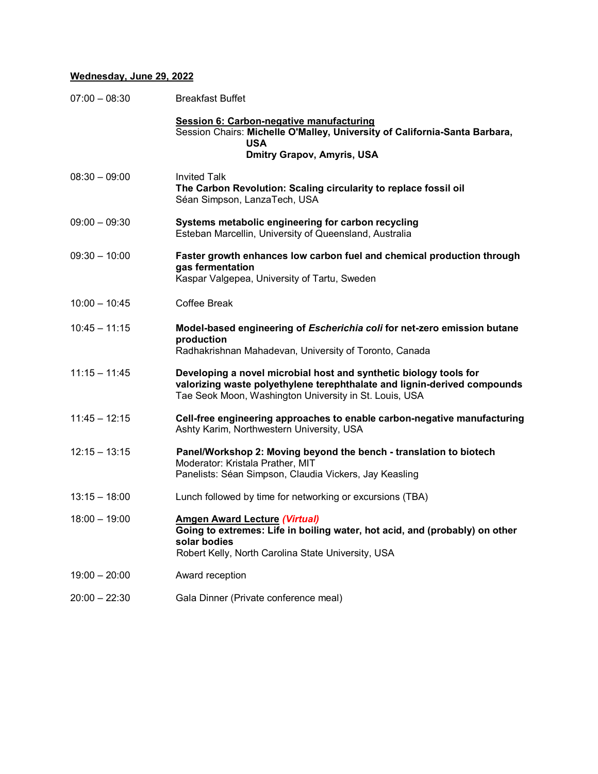# **Wednesday, June 29, 2022**

| $07:00 - 08:30$ | <b>Breakfast Buffet</b>                                                                                                                                                                                 |
|-----------------|---------------------------------------------------------------------------------------------------------------------------------------------------------------------------------------------------------|
|                 | Session 6: Carbon-negative manufacturing<br>Session Chairs: Michelle O'Malley, University of California-Santa Barbara,<br><b>USA</b><br><b>Dmitry Grapov, Amyris, USA</b>                               |
|                 |                                                                                                                                                                                                         |
| $08:30 - 09:00$ | <b>Invited Talk</b><br>The Carbon Revolution: Scaling circularity to replace fossil oil<br>Séan Simpson, LanzaTech, USA                                                                                 |
| $09:00 - 09:30$ | Systems metabolic engineering for carbon recycling<br>Esteban Marcellin, University of Queensland, Australia                                                                                            |
| $09:30 - 10:00$ | Faster growth enhances low carbon fuel and chemical production through<br>gas fermentation<br>Kaspar Valgepea, University of Tartu, Sweden                                                              |
| $10:00 - 10:45$ | Coffee Break                                                                                                                                                                                            |
| $10:45 - 11:15$ | Model-based engineering of Escherichia coli for net-zero emission butane<br>production<br>Radhakrishnan Mahadevan, University of Toronto, Canada                                                        |
| $11:15 - 11:45$ | Developing a novel microbial host and synthetic biology tools for<br>valorizing waste polyethylene terephthalate and lignin-derived compounds<br>Tae Seok Moon, Washington University in St. Louis, USA |
| $11:45 - 12:15$ | Cell-free engineering approaches to enable carbon-negative manufacturing<br>Ashty Karim, Northwestern University, USA                                                                                   |
| $12:15 - 13:15$ | Panel/Workshop 2: Moving beyond the bench - translation to biotech<br>Moderator: Kristala Prather, MIT<br>Panelists: Séan Simpson, Claudia Vickers, Jay Keasling                                        |
| $13:15 - 18:00$ | Lunch followed by time for networking or excursions (TBA)                                                                                                                                               |
| $18:00 - 19:00$ | <b>Amgen Award Lecture (Virtual)</b><br>Going to extremes: Life in boiling water, hot acid, and (probably) on other<br>solar bodies<br>Robert Kelly, North Carolina State University, USA               |
| $19:00 - 20:00$ | Award reception                                                                                                                                                                                         |
| $20:00 - 22:30$ | Gala Dinner (Private conference meal)                                                                                                                                                                   |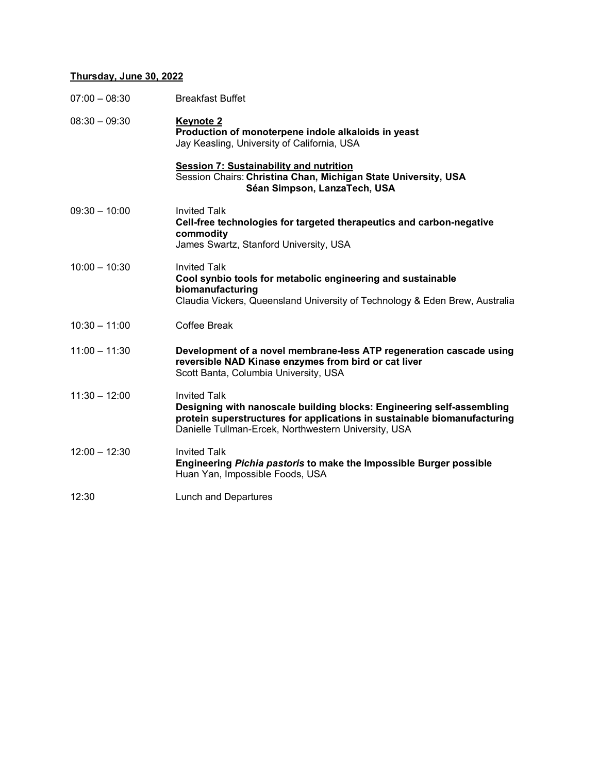# **Thursday, June 30, 2022**

| $07:00 - 08:30$ | <b>Breakfast Buffet</b>                                                                                                                                                                                                          |
|-----------------|----------------------------------------------------------------------------------------------------------------------------------------------------------------------------------------------------------------------------------|
| $08:30 - 09:30$ | <b>Keynote 2</b><br>Production of monoterpene indole alkaloids in yeast<br>Jay Keasling, University of California, USA                                                                                                           |
|                 | <b>Session 7: Sustainability and nutrition</b><br>Session Chairs: Christina Chan, Michigan State University, USA<br>Séan Simpson, LanzaTech, USA                                                                                 |
| $09:30 - 10:00$ | <b>Invited Talk</b><br>Cell-free technologies for targeted therapeutics and carbon-negative<br>commodity<br>James Swartz, Stanford University, USA                                                                               |
| $10:00 - 10:30$ | <b>Invited Talk</b><br>Cool synbio tools for metabolic engineering and sustainable<br>biomanufacturing<br>Claudia Vickers, Queensland University of Technology & Eden Brew, Australia                                            |
| $10:30 - 11:00$ | <b>Coffee Break</b>                                                                                                                                                                                                              |
| $11:00 - 11:30$ | Development of a novel membrane-less ATP regeneration cascade using<br>reversible NAD Kinase enzymes from bird or cat liver<br>Scott Banta, Columbia University, USA                                                             |
| $11:30 - 12:00$ | <b>Invited Talk</b><br>Designing with nanoscale building blocks: Engineering self-assembling<br>protein superstructures for applications in sustainable biomanufacturing<br>Danielle Tullman-Ercek, Northwestern University, USA |
| $12:00 - 12:30$ | <b>Invited Talk</b><br>Engineering Pichia pastoris to make the Impossible Burger possible<br>Huan Yan, Impossible Foods, USA                                                                                                     |
| 12:30           | <b>Lunch and Departures</b>                                                                                                                                                                                                      |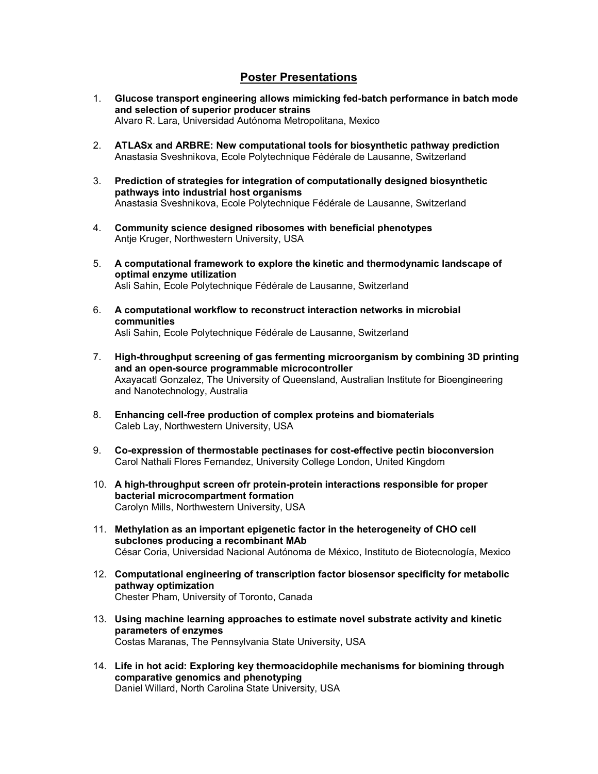# **Poster Presentations**

- 1. **Glucose transport engineering allows mimicking fed-batch performance in batch mode and selection of superior producer strains** Alvaro R. Lara, Universidad Autónoma Metropolitana, Mexico
- 2. **ATLASx and ARBRE: New computational tools for biosynthetic pathway prediction** Anastasia Sveshnikova, Ecole Polytechnique Fédérale de Lausanne, Switzerland
- 3. **Prediction of strategies for integration of computationally designed biosynthetic pathways into industrial host organisms** Anastasia Sveshnikova, Ecole Polytechnique Fédérale de Lausanne, Switzerland
- 4. **Community science designed ribosomes with beneficial phenotypes** Antje Kruger, Northwestern University, USA
- 5. **A computational framework to explore the kinetic and thermodynamic landscape of optimal enzyme utilization** Asli Sahin, Ecole Polytechnique Fédérale de Lausanne, Switzerland
- 6. **A computational workflow to reconstruct interaction networks in microbial communities** Asli Sahin, Ecole Polytechnique Fédérale de Lausanne, Switzerland
- 7. **High-throughput screening of gas fermenting microorganism by combining 3D printing and an open-source programmable microcontroller** Axayacatl Gonzalez, The University of Queensland, Australian Institute for Bioengineering and Nanotechnology, Australia
- 8. **Enhancing cell-free production of complex proteins and biomaterials** Caleb Lay, Northwestern University, USA
- 9. **Co-expression of thermostable pectinases for cost-effective pectin bioconversion** Carol Nathali Flores Fernandez, University College London, United Kingdom
- 10. **A high-throughput screen ofr protein-protein interactions responsible for proper bacterial microcompartment formation** Carolyn Mills, Northwestern University, USA
- 11. **Methylation as an important epigenetic factor in the heterogeneity of CHO cell subclones producing a recombinant MAb** César Coria, Universidad Nacional Autónoma de México, Instituto de Biotecnología, Mexico
- 12. **Computational engineering of transcription factor biosensor specificity for metabolic pathway optimization** Chester Pham, University of Toronto, Canada
- 13. **Using machine learning approaches to estimate novel substrate activity and kinetic parameters of enzymes** Costas Maranas, The Pennsylvania State University, USA
- 14. **Life in hot acid: Exploring key thermoacidophile mechanisms for biomining through comparative genomics and phenotyping** Daniel Willard, North Carolina State University, USA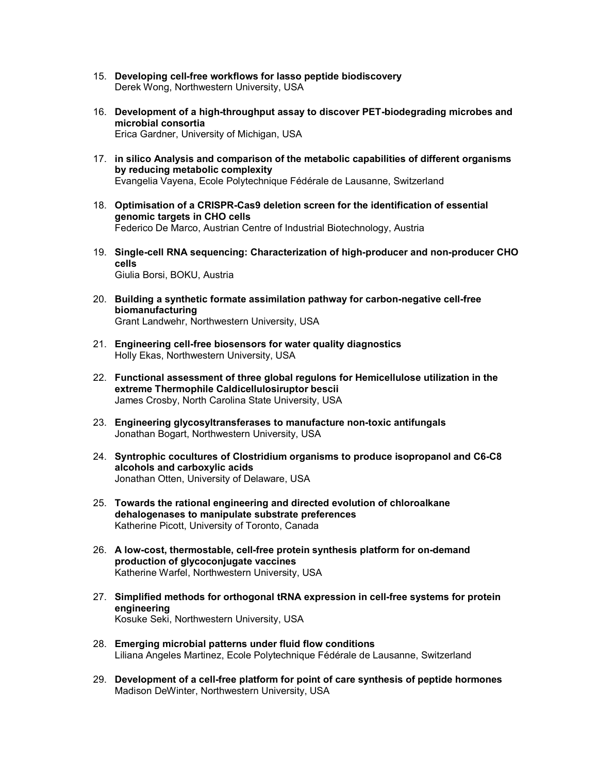- 15. **Developing cell-free workflows for lasso peptide biodiscovery** Derek Wong, Northwestern University, USA
- 16. **Development of a high-throughput assay to discover PET-biodegrading microbes and microbial consortia** Erica Gardner, University of Michigan, USA
- 17. **in silico Analysis and comparison of the metabolic capabilities of different organisms by reducing metabolic complexity** Evangelia Vayena, Ecole Polytechnique Fédérale de Lausanne, Switzerland
- 18. **Optimisation of a CRISPR-Cas9 deletion screen for the identification of essential genomic targets in CHO cells** Federico De Marco, Austrian Centre of Industrial Biotechnology, Austria
- 19. **Single-cell RNA sequencing: Characterization of high-producer and non-producer CHO cells** Giulia Borsi, BOKU, Austria
- 20. **Building a synthetic formate assimilation pathway for carbon-negative cell-free biomanufacturing** Grant Landwehr, Northwestern University, USA
- 21. **Engineering cell-free biosensors for water quality diagnostics** Holly Ekas, Northwestern University, USA
- 22. **Functional assessment of three global regulons for Hemicellulose utilization in the extreme Thermophile Caldicellulosiruptor bescii** James Crosby, North Carolina State University, USA
- 23. **Engineering glycosyltransferases to manufacture non-toxic antifungals** Jonathan Bogart, Northwestern University, USA
- 24. **Syntrophic cocultures of Clostridium organisms to produce isopropanol and C6-C8 alcohols and carboxylic acids** Jonathan Otten, University of Delaware, USA
- 25. **Towards the rational engineering and directed evolution of chloroalkane dehalogenases to manipulate substrate preferences** Katherine Picott, University of Toronto, Canada
- 26. **A low-cost, thermostable, cell-free protein synthesis platform for on-demand production of glycoconjugate vaccines** Katherine Warfel, Northwestern University, USA
- 27. **Simplified methods for orthogonal tRNA expression in cell-free systems for protein engineering** Kosuke Seki, Northwestern University, USA
- 28. **Emerging microbial patterns under fluid flow conditions** Liliana Angeles Martinez, Ecole Polytechnique Fédérale de Lausanne, Switzerland
- 29. **Development of a cell-free platform for point of care synthesis of peptide hormones** Madison DeWinter, Northwestern University, USA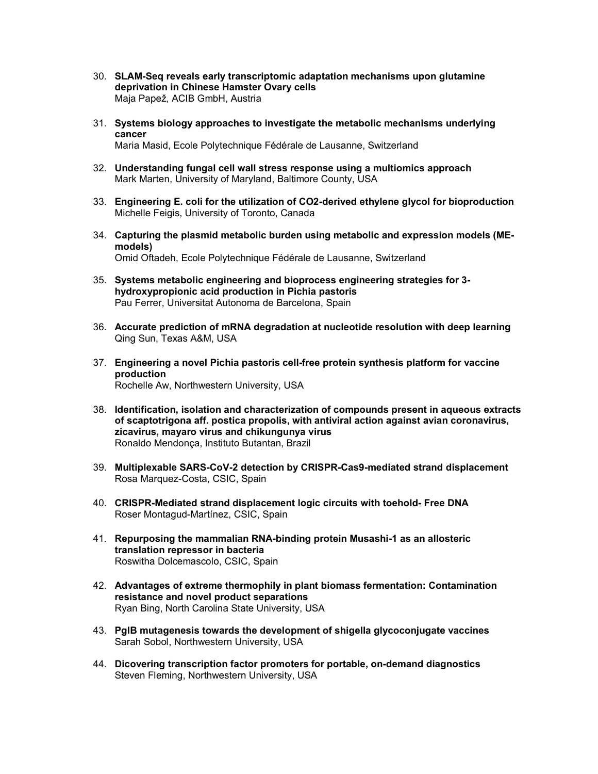- 30. **SLAM-Seq reveals early transcriptomic adaptation mechanisms upon glutamine deprivation in Chinese Hamster Ovary cells** Maja Papež, ACIB GmbH, Austria
- 31. **Systems biology approaches to investigate the metabolic mechanisms underlying cancer** Maria Masid, Ecole Polytechnique Fédérale de Lausanne, Switzerland
- 32. **Understanding fungal cell wall stress response using a multiomics approach** Mark Marten, University of Maryland, Baltimore County, USA
- 33. **Engineering E. coli for the utilization of CO2-derived ethylene glycol for bioproduction** Michelle Feigis, University of Toronto, Canada
- 34. **Capturing the plasmid metabolic burden using metabolic and expression models (MEmodels)** Omid Oftadeh, Ecole Polytechnique Fédérale de Lausanne, Switzerland
- 35. **Systems metabolic engineering and bioprocess engineering strategies for 3 hydroxypropionic acid production in Pichia pastoris** Pau Ferrer, Universitat Autonoma de Barcelona, Spain
- 36. **Accurate prediction of mRNA degradation at nucleotide resolution with deep learning** Qing Sun, Texas A&M, USA
- 37. **Engineering a novel Pichia pastoris cell-free protein synthesis platform for vaccine production** Rochelle Aw, Northwestern University, USA
- 38. **Identification, isolation and characterization of compounds present in aqueous extracts of scaptotrigona aff. postica propolis, with antiviral action against avian coronavirus, zicavirus, mayaro virus and chikungunya virus** Ronaldo Mendonça, Instituto Butantan, Brazil
- 39. **Multiplexable SARS-CoV-2 detection by CRISPR-Cas9-mediated strand displacement** Rosa Marquez-Costa, CSIC, Spain
- 40. **CRISPR-Mediated strand displacement logic circuits with toehold- Free DNA** Roser Montagud-Martínez, CSIC, Spain
- 41. **Repurposing the mammalian RNA-binding protein Musashi-1 as an allosteric translation repressor in bacteria** Roswitha Dolcemascolo, CSIC, Spain
- 42. **Advantages of extreme thermophily in plant biomass fermentation: Contamination resistance and novel product separations** Ryan Bing, North Carolina State University, USA
- 43. **PglB mutagenesis towards the development of shigella glycoconjugate vaccines** Sarah Sobol, Northwestern University, USA
- 44. **Dicovering transcription factor promoters for portable, on-demand diagnostics** Steven Fleming, Northwestern University, USA